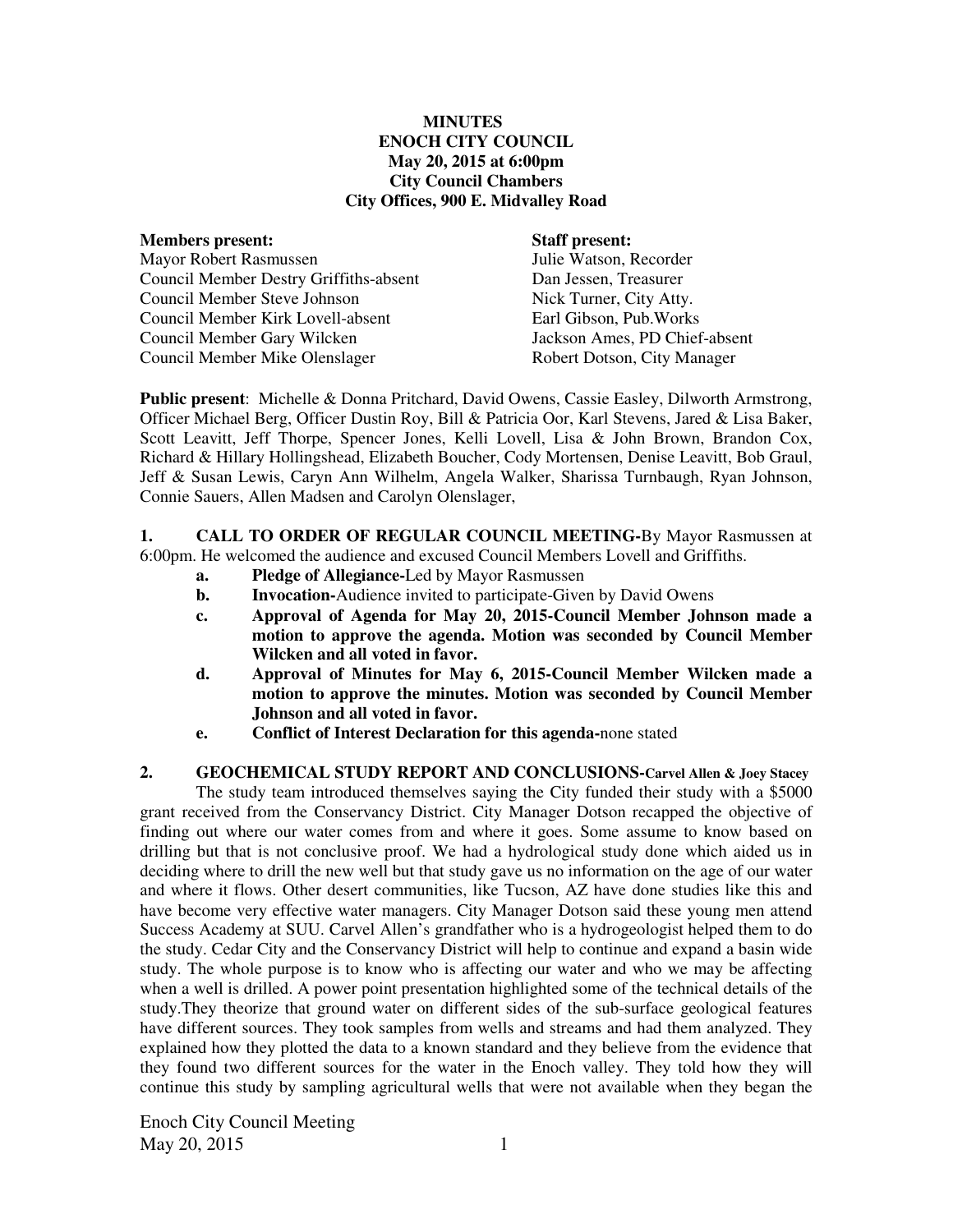### **MINUTES ENOCH CITY COUNCIL May 20, 2015 at 6:00pm City Council Chambers City Offices, 900 E. Midvalley Road**

| <b>Staff present:</b>         |
|-------------------------------|
| Julie Watson, Recorder        |
| Dan Jessen, Treasurer         |
| Nick Turner, City Atty.       |
| Earl Gibson, Pub. Works       |
| Jackson Ames, PD Chief-absent |
| Robert Dotson, City Manager   |
|                               |

**Public present**: Michelle & Donna Pritchard, David Owens, Cassie Easley, Dilworth Armstrong, Officer Michael Berg, Officer Dustin Roy, Bill & Patricia Oor, Karl Stevens, Jared & Lisa Baker, Scott Leavitt, Jeff Thorpe, Spencer Jones, Kelli Lovell, Lisa & John Brown, Brandon Cox, Richard & Hillary Hollingshead, Elizabeth Boucher, Cody Mortensen, Denise Leavitt, Bob Graul, Jeff & Susan Lewis, Caryn Ann Wilhelm, Angela Walker, Sharissa Turnbaugh, Ryan Johnson, Connie Sauers, Allen Madsen and Carolyn Olenslager,

**1. CALL TO ORDER OF REGULAR COUNCIL MEETING-**By Mayor Rasmussen at 6:00pm. He welcomed the audience and excused Council Members Lovell and Griffiths.

- **a. Pledge of Allegiance-**Led by Mayor Rasmussen
- **b.** Invocation-Audience invited to participate-Given by David Owens
- **c. Approval of Agenda for May 20, 2015-Council Member Johnson made a motion to approve the agenda. Motion was seconded by Council Member Wilcken and all voted in favor.**
- **d. Approval of Minutes for May 6, 2015-Council Member Wilcken made a motion to approve the minutes. Motion was seconded by Council Member Johnson and all voted in favor.**
- **e. Conflict of Interest Declaration for this agenda-**none stated

**2. GEOCHEMICAL STUDY REPORT AND CONCLUSIONS-Carvel Allen & Joey Stacey**  The study team introduced themselves saying the City funded their study with a \$5000 grant received from the Conservancy District. City Manager Dotson recapped the objective of finding out where our water comes from and where it goes. Some assume to know based on drilling but that is not conclusive proof. We had a hydrological study done which aided us in deciding where to drill the new well but that study gave us no information on the age of our water and where it flows. Other desert communities, like Tucson, AZ have done studies like this and have become very effective water managers. City Manager Dotson said these young men attend Success Academy at SUU. Carvel Allen's grandfather who is a hydrogeologist helped them to do the study. Cedar City and the Conservancy District will help to continue and expand a basin wide study. The whole purpose is to know who is affecting our water and who we may be affecting when a well is drilled. A power point presentation highlighted some of the technical details of the study.They theorize that ground water on different sides of the sub-surface geological features have different sources. They took samples from wells and streams and had them analyzed. They explained how they plotted the data to a known standard and they believe from the evidence that they found two different sources for the water in the Enoch valley. They told how they will continue this study by sampling agricultural wells that were not available when they began the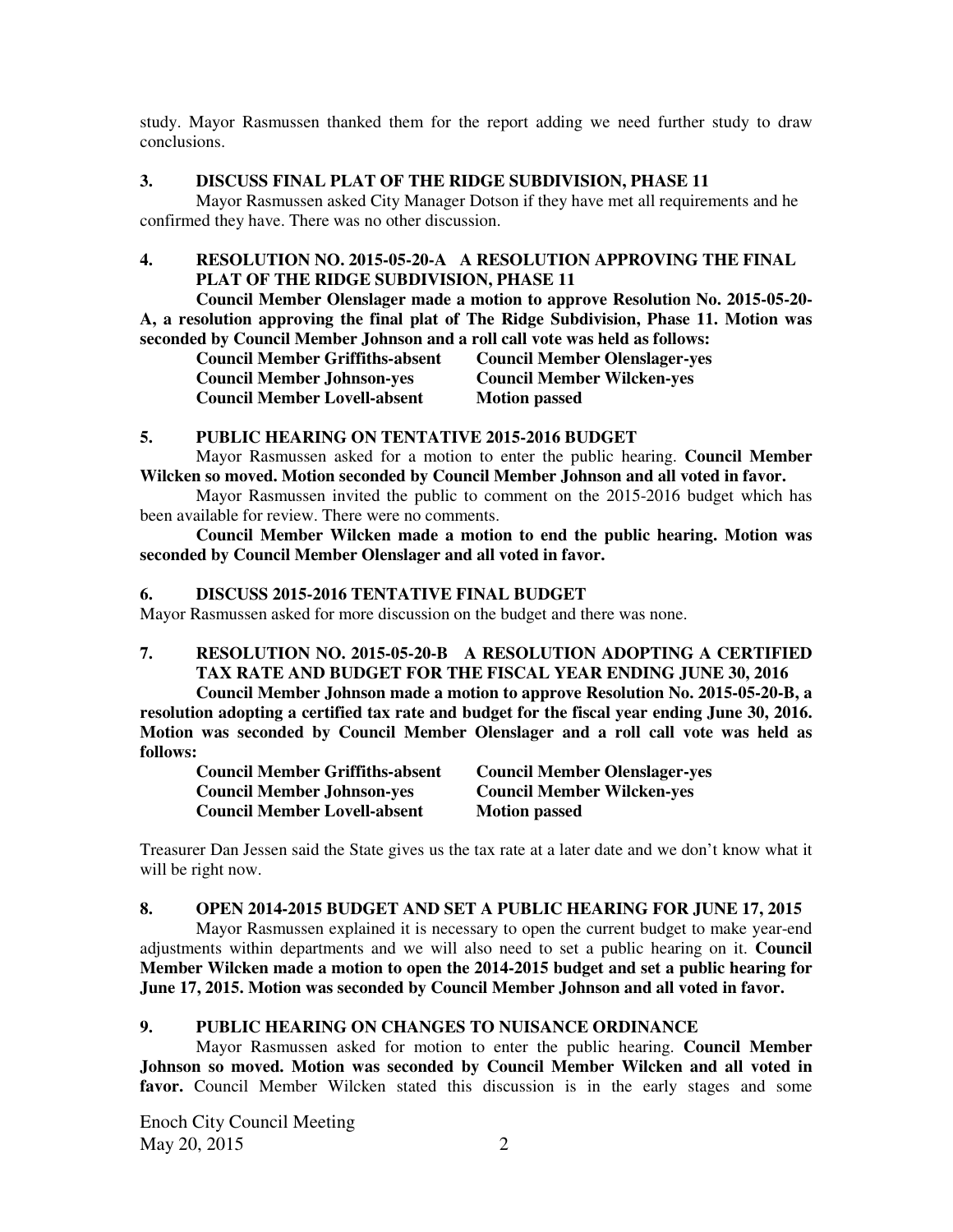study. Mayor Rasmussen thanked them for the report adding we need further study to draw conclusions.

## **3. DISCUSS FINAL PLAT OF THE RIDGE SUBDIVISION, PHASE 11**

Mayor Rasmussen asked City Manager Dotson if they have met all requirements and he confirmed they have. There was no other discussion.

## **4. RESOLUTION NO. 2015-05-20-A A RESOLUTION APPROVING THE FINAL PLAT OF THE RIDGE SUBDIVISION, PHASE 11**

**Council Member Olenslager made a motion to approve Resolution No. 2015-05-20- A, a resolution approving the final plat of The Ridge Subdivision, Phase 11. Motion was seconded by Council Member Johnson and a roll call vote was held as follows:** 

| <b>Council Member Griffiths-absent</b> | <b>Council Member Olenslager-yes</b> |
|----------------------------------------|--------------------------------------|
| <b>Council Member Johnson-yes</b>      | <b>Council Member Wilcken-yes</b>    |
| <b>Council Member Lovell-absent</b>    | <b>Motion passed</b>                 |

### **5. PUBLIC HEARING ON TENTATIVE 2015-2016 BUDGET**

Mayor Rasmussen asked for a motion to enter the public hearing. **Council Member Wilcken so moved. Motion seconded by Council Member Johnson and all voted in favor.** 

Mayor Rasmussen invited the public to comment on the 2015-2016 budget which has been available for review. There were no comments.

 **Council Member Wilcken made a motion to end the public hearing. Motion was seconded by Council Member Olenslager and all voted in favor.** 

### **6. DISCUSS 2015-2016 TENTATIVE FINAL BUDGET**

Mayor Rasmussen asked for more discussion on the budget and there was none.

**7. RESOLUTION NO. 2015-05-20-B A RESOLUTION ADOPTING A CERTIFIED TAX RATE AND BUDGET FOR THE FISCAL YEAR ENDING JUNE 30, 2016** 

**Council Member Johnson made a motion to approve Resolution No. 2015-05-20-B, a resolution adopting a certified tax rate and budget for the fiscal year ending June 30, 2016. Motion was seconded by Council Member Olenslager and a roll call vote was held as follows:** 

| <b>Council Member Griffiths-absent</b> | <b>Council Member Olenslager-yes</b> |
|----------------------------------------|--------------------------------------|
| <b>Council Member Johnson-yes</b>      | <b>Council Member Wilcken-yes</b>    |
| <b>Council Member Lovell-absent</b>    | <b>Motion passed</b>                 |

Treasurer Dan Jessen said the State gives us the tax rate at a later date and we don't know what it will be right now.

## **8. OPEN 2014-2015 BUDGET AND SET A PUBLIC HEARING FOR JUNE 17, 2015**

Mayor Rasmussen explained it is necessary to open the current budget to make year-end adjustments within departments and we will also need to set a public hearing on it. **Council Member Wilcken made a motion to open the 2014-2015 budget and set a public hearing for June 17, 2015. Motion was seconded by Council Member Johnson and all voted in favor.** 

### **9. PUBLIC HEARING ON CHANGES TO NUISANCE ORDINANCE**

Mayor Rasmussen asked for motion to enter the public hearing. **Council Member Johnson so moved. Motion was seconded by Council Member Wilcken and all voted in**  favor. Council Member Wilcken stated this discussion is in the early stages and some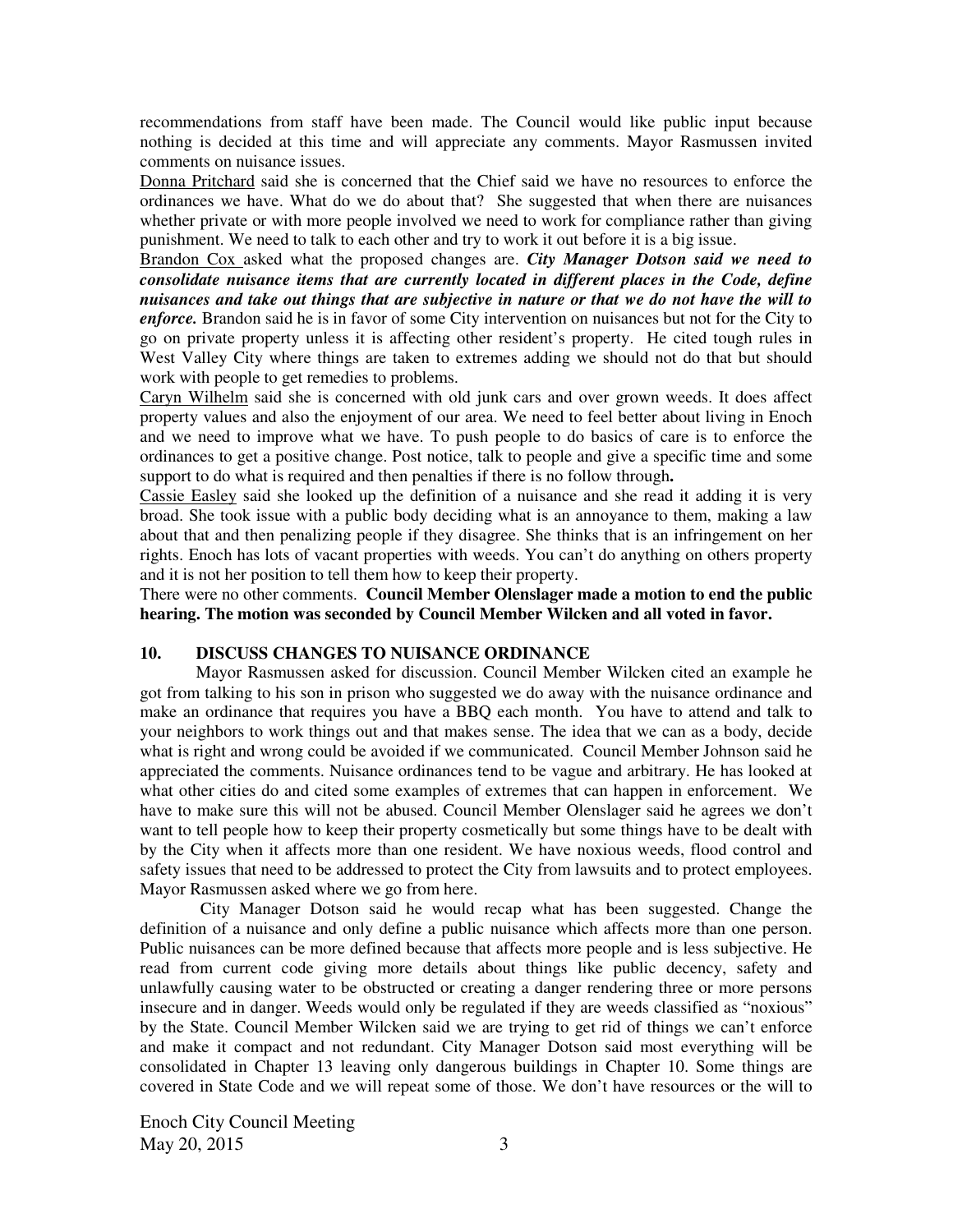recommendations from staff have been made. The Council would like public input because nothing is decided at this time and will appreciate any comments. Mayor Rasmussen invited comments on nuisance issues.

Donna Pritchard said she is concerned that the Chief said we have no resources to enforce the ordinances we have. What do we do about that? She suggested that when there are nuisances whether private or with more people involved we need to work for compliance rather than giving punishment. We need to talk to each other and try to work it out before it is a big issue.

Brandon Cox asked what the proposed changes are. *City Manager Dotson said we need to consolidate nuisance items that are currently located in different places in the Code, define nuisances and take out things that are subjective in nature or that we do not have the will to enforce.* Brandon said he is in favor of some City intervention on nuisances but not for the City to go on private property unless it is affecting other resident's property. He cited tough rules in West Valley City where things are taken to extremes adding we should not do that but should work with people to get remedies to problems.

Caryn Wilhelm said she is concerned with old junk cars and over grown weeds. It does affect property values and also the enjoyment of our area. We need to feel better about living in Enoch and we need to improve what we have. To push people to do basics of care is to enforce the ordinances to get a positive change. Post notice, talk to people and give a specific time and some support to do what is required and then penalties if there is no follow through**.** 

Cassie Easley said she looked up the definition of a nuisance and she read it adding it is very broad. She took issue with a public body deciding what is an annoyance to them, making a law about that and then penalizing people if they disagree. She thinks that is an infringement on her rights. Enoch has lots of vacant properties with weeds. You can't do anything on others property and it is not her position to tell them how to keep their property.

There were no other comments. **Council Member Olenslager made a motion to end the public hearing. The motion was seconded by Council Member Wilcken and all voted in favor.** 

## **10. DISCUSS CHANGES TO NUISANCE ORDINANCE**

Mayor Rasmussen asked for discussion. Council Member Wilcken cited an example he got from talking to his son in prison who suggested we do away with the nuisance ordinance and make an ordinance that requires you have a BBQ each month. You have to attend and talk to your neighbors to work things out and that makes sense. The idea that we can as a body, decide what is right and wrong could be avoided if we communicated. Council Member Johnson said he appreciated the comments. Nuisance ordinances tend to be vague and arbitrary. He has looked at what other cities do and cited some examples of extremes that can happen in enforcement. We have to make sure this will not be abused. Council Member Olenslager said he agrees we don't want to tell people how to keep their property cosmetically but some things have to be dealt with by the City when it affects more than one resident. We have noxious weeds, flood control and safety issues that need to be addressed to protect the City from lawsuits and to protect employees. Mayor Rasmussen asked where we go from here.

 City Manager Dotson said he would recap what has been suggested. Change the definition of a nuisance and only define a public nuisance which affects more than one person. Public nuisances can be more defined because that affects more people and is less subjective. He read from current code giving more details about things like public decency, safety and unlawfully causing water to be obstructed or creating a danger rendering three or more persons insecure and in danger. Weeds would only be regulated if they are weeds classified as "noxious" by the State. Council Member Wilcken said we are trying to get rid of things we can't enforce and make it compact and not redundant. City Manager Dotson said most everything will be consolidated in Chapter 13 leaving only dangerous buildings in Chapter 10. Some things are covered in State Code and we will repeat some of those. We don't have resources or the will to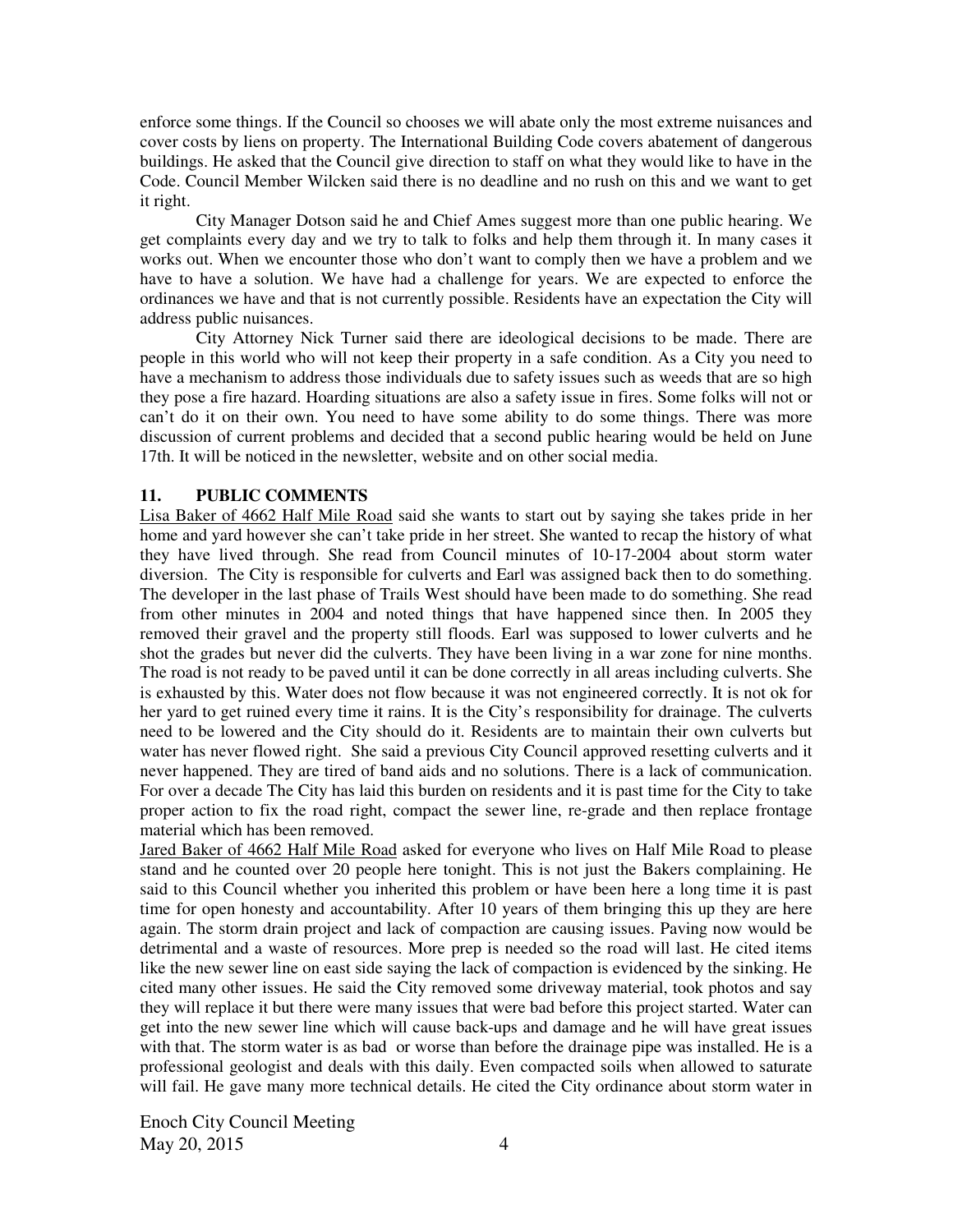enforce some things. If the Council so chooses we will abate only the most extreme nuisances and cover costs by liens on property. The International Building Code covers abatement of dangerous buildings. He asked that the Council give direction to staff on what they would like to have in the Code. Council Member Wilcken said there is no deadline and no rush on this and we want to get it right.

City Manager Dotson said he and Chief Ames suggest more than one public hearing. We get complaints every day and we try to talk to folks and help them through it. In many cases it works out. When we encounter those who don't want to comply then we have a problem and we have to have a solution. We have had a challenge for years. We are expected to enforce the ordinances we have and that is not currently possible. Residents have an expectation the City will address public nuisances.

City Attorney Nick Turner said there are ideological decisions to be made. There are people in this world who will not keep their property in a safe condition. As a City you need to have a mechanism to address those individuals due to safety issues such as weeds that are so high they pose a fire hazard. Hoarding situations are also a safety issue in fires. Some folks will not or can't do it on their own. You need to have some ability to do some things. There was more discussion of current problems and decided that a second public hearing would be held on June 17th. It will be noticed in the newsletter, website and on other social media.

#### **11. PUBLIC COMMENTS**

Lisa Baker of 4662 Half Mile Road said she wants to start out by saying she takes pride in her home and yard however she can't take pride in her street. She wanted to recap the history of what they have lived through. She read from Council minutes of 10-17-2004 about storm water diversion. The City is responsible for culverts and Earl was assigned back then to do something. The developer in the last phase of Trails West should have been made to do something. She read from other minutes in 2004 and noted things that have happened since then. In 2005 they removed their gravel and the property still floods. Earl was supposed to lower culverts and he shot the grades but never did the culverts. They have been living in a war zone for nine months. The road is not ready to be paved until it can be done correctly in all areas including culverts. She is exhausted by this. Water does not flow because it was not engineered correctly. It is not ok for her yard to get ruined every time it rains. It is the City's responsibility for drainage. The culverts need to be lowered and the City should do it. Residents are to maintain their own culverts but water has never flowed right. She said a previous City Council approved resetting culverts and it never happened. They are tired of band aids and no solutions. There is a lack of communication. For over a decade The City has laid this burden on residents and it is past time for the City to take proper action to fix the road right, compact the sewer line, re-grade and then replace frontage material which has been removed.

Jared Baker of 4662 Half Mile Road asked for everyone who lives on Half Mile Road to please stand and he counted over 20 people here tonight. This is not just the Bakers complaining. He said to this Council whether you inherited this problem or have been here a long time it is past time for open honesty and accountability. After 10 years of them bringing this up they are here again. The storm drain project and lack of compaction are causing issues. Paving now would be detrimental and a waste of resources. More prep is needed so the road will last. He cited items like the new sewer line on east side saying the lack of compaction is evidenced by the sinking. He cited many other issues. He said the City removed some driveway material, took photos and say they will replace it but there were many issues that were bad before this project started. Water can get into the new sewer line which will cause back-ups and damage and he will have great issues with that. The storm water is as bad or worse than before the drainage pipe was installed. He is a professional geologist and deals with this daily. Even compacted soils when allowed to saturate will fail. He gave many more technical details. He cited the City ordinance about storm water in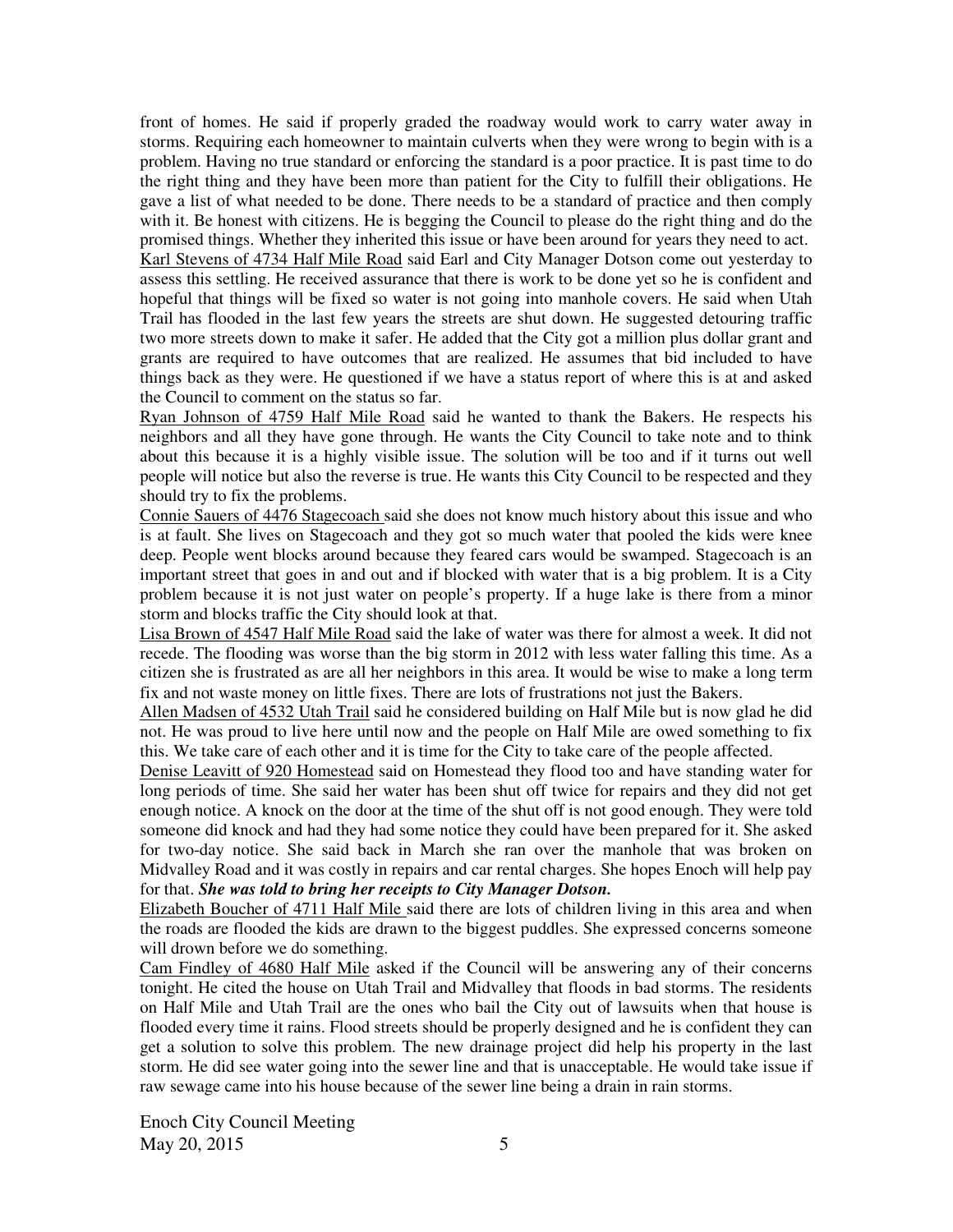front of homes. He said if properly graded the roadway would work to carry water away in storms. Requiring each homeowner to maintain culverts when they were wrong to begin with is a problem. Having no true standard or enforcing the standard is a poor practice. It is past time to do the right thing and they have been more than patient for the City to fulfill their obligations. He gave a list of what needed to be done. There needs to be a standard of practice and then comply with it. Be honest with citizens. He is begging the Council to please do the right thing and do the promised things. Whether they inherited this issue or have been around for years they need to act. Karl Stevens of 4734 Half Mile Road said Earl and City Manager Dotson come out yesterday to assess this settling. He received assurance that there is work to be done yet so he is confident and hopeful that things will be fixed so water is not going into manhole covers. He said when Utah Trail has flooded in the last few years the streets are shut down. He suggested detouring traffic two more streets down to make it safer. He added that the City got a million plus dollar grant and grants are required to have outcomes that are realized. He assumes that bid included to have things back as they were. He questioned if we have a status report of where this is at and asked the Council to comment on the status so far.

Ryan Johnson of 4759 Half Mile Road said he wanted to thank the Bakers. He respects his neighbors and all they have gone through. He wants the City Council to take note and to think about this because it is a highly visible issue. The solution will be too and if it turns out well people will notice but also the reverse is true. He wants this City Council to be respected and they should try to fix the problems.

Connie Sauers of 4476 Stagecoach said she does not know much history about this issue and who is at fault. She lives on Stagecoach and they got so much water that pooled the kids were knee deep. People went blocks around because they feared cars would be swamped. Stagecoach is an important street that goes in and out and if blocked with water that is a big problem. It is a City problem because it is not just water on people's property. If a huge lake is there from a minor storm and blocks traffic the City should look at that.

Lisa Brown of 4547 Half Mile Road said the lake of water was there for almost a week. It did not recede. The flooding was worse than the big storm in 2012 with less water falling this time. As a citizen she is frustrated as are all her neighbors in this area. It would be wise to make a long term fix and not waste money on little fixes. There are lots of frustrations not just the Bakers.

Allen Madsen of 4532 Utah Trail said he considered building on Half Mile but is now glad he did not. He was proud to live here until now and the people on Half Mile are owed something to fix this. We take care of each other and it is time for the City to take care of the people affected.

Denise Leavitt of 920 Homestead said on Homestead they flood too and have standing water for long periods of time. She said her water has been shut off twice for repairs and they did not get enough notice. A knock on the door at the time of the shut off is not good enough. They were told someone did knock and had they had some notice they could have been prepared for it. She asked for two-day notice. She said back in March she ran over the manhole that was broken on Midvalley Road and it was costly in repairs and car rental charges. She hopes Enoch will help pay for that. *She was told to bring her receipts to City Manager Dotson.*

Elizabeth Boucher of 4711 Half Mile said there are lots of children living in this area and when the roads are flooded the kids are drawn to the biggest puddles. She expressed concerns someone will drown before we do something.

Cam Findley of 4680 Half Mile asked if the Council will be answering any of their concerns tonight. He cited the house on Utah Trail and Midvalley that floods in bad storms. The residents on Half Mile and Utah Trail are the ones who bail the City out of lawsuits when that house is flooded every time it rains. Flood streets should be properly designed and he is confident they can get a solution to solve this problem. The new drainage project did help his property in the last storm. He did see water going into the sewer line and that is unacceptable. He would take issue if raw sewage came into his house because of the sewer line being a drain in rain storms.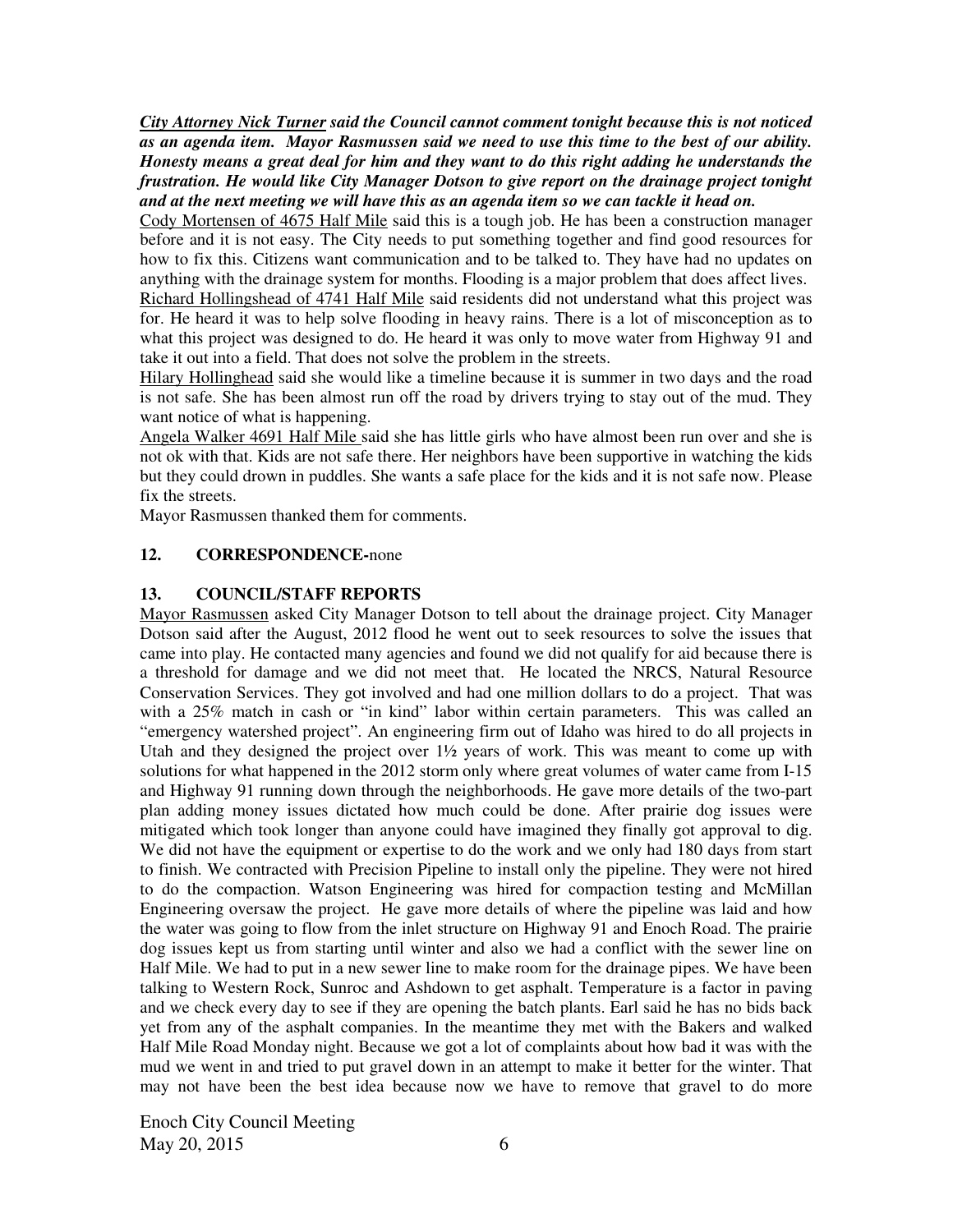*City Attorney Nick Turner said the Council cannot comment tonight because this is not noticed as an agenda item. Mayor Rasmussen said we need to use this time to the best of our ability. Honesty means a great deal for him and they want to do this right adding he understands the frustration. He would like City Manager Dotson to give report on the drainage project tonight and at the next meeting we will have this as an agenda item so we can tackle it head on.* 

Cody Mortensen of 4675 Half Mile said this is a tough job. He has been a construction manager before and it is not easy. The City needs to put something together and find good resources for how to fix this. Citizens want communication and to be talked to. They have had no updates on anything with the drainage system for months. Flooding is a major problem that does affect lives.

Richard Hollingshead of 4741 Half Mile said residents did not understand what this project was for. He heard it was to help solve flooding in heavy rains. There is a lot of misconception as to what this project was designed to do. He heard it was only to move water from Highway 91 and take it out into a field. That does not solve the problem in the streets.

Hilary Hollinghead said she would like a timeline because it is summer in two days and the road is not safe. She has been almost run off the road by drivers trying to stay out of the mud. They want notice of what is happening.

Angela Walker 4691 Half Mile said she has little girls who have almost been run over and she is not ok with that. Kids are not safe there. Her neighbors have been supportive in watching the kids but they could drown in puddles. She wants a safe place for the kids and it is not safe now. Please fix the streets.

Mayor Rasmussen thanked them for comments.

### **12. CORRESPONDENCE-**none

## **13. COUNCIL/STAFF REPORTS**

Mayor Rasmussen asked City Manager Dotson to tell about the drainage project. City Manager Dotson said after the August, 2012 flood he went out to seek resources to solve the issues that came into play. He contacted many agencies and found we did not qualify for aid because there is a threshold for damage and we did not meet that. He located the NRCS, Natural Resource Conservation Services. They got involved and had one million dollars to do a project. That was with a 25% match in cash or "in kind" labor within certain parameters. This was called an "emergency watershed project". An engineering firm out of Idaho was hired to do all projects in Utah and they designed the project over  $1\frac{1}{2}$  years of work. This was meant to come up with solutions for what happened in the 2012 storm only where great volumes of water came from I-15 and Highway 91 running down through the neighborhoods. He gave more details of the two-part plan adding money issues dictated how much could be done. After prairie dog issues were mitigated which took longer than anyone could have imagined they finally got approval to dig. We did not have the equipment or expertise to do the work and we only had 180 days from start to finish. We contracted with Precision Pipeline to install only the pipeline. They were not hired to do the compaction. Watson Engineering was hired for compaction testing and McMillan Engineering oversaw the project. He gave more details of where the pipeline was laid and how the water was going to flow from the inlet structure on Highway 91 and Enoch Road. The prairie dog issues kept us from starting until winter and also we had a conflict with the sewer line on Half Mile. We had to put in a new sewer line to make room for the drainage pipes. We have been talking to Western Rock, Sunroc and Ashdown to get asphalt. Temperature is a factor in paving and we check every day to see if they are opening the batch plants. Earl said he has no bids back yet from any of the asphalt companies. In the meantime they met with the Bakers and walked Half Mile Road Monday night. Because we got a lot of complaints about how bad it was with the mud we went in and tried to put gravel down in an attempt to make it better for the winter. That may not have been the best idea because now we have to remove that gravel to do more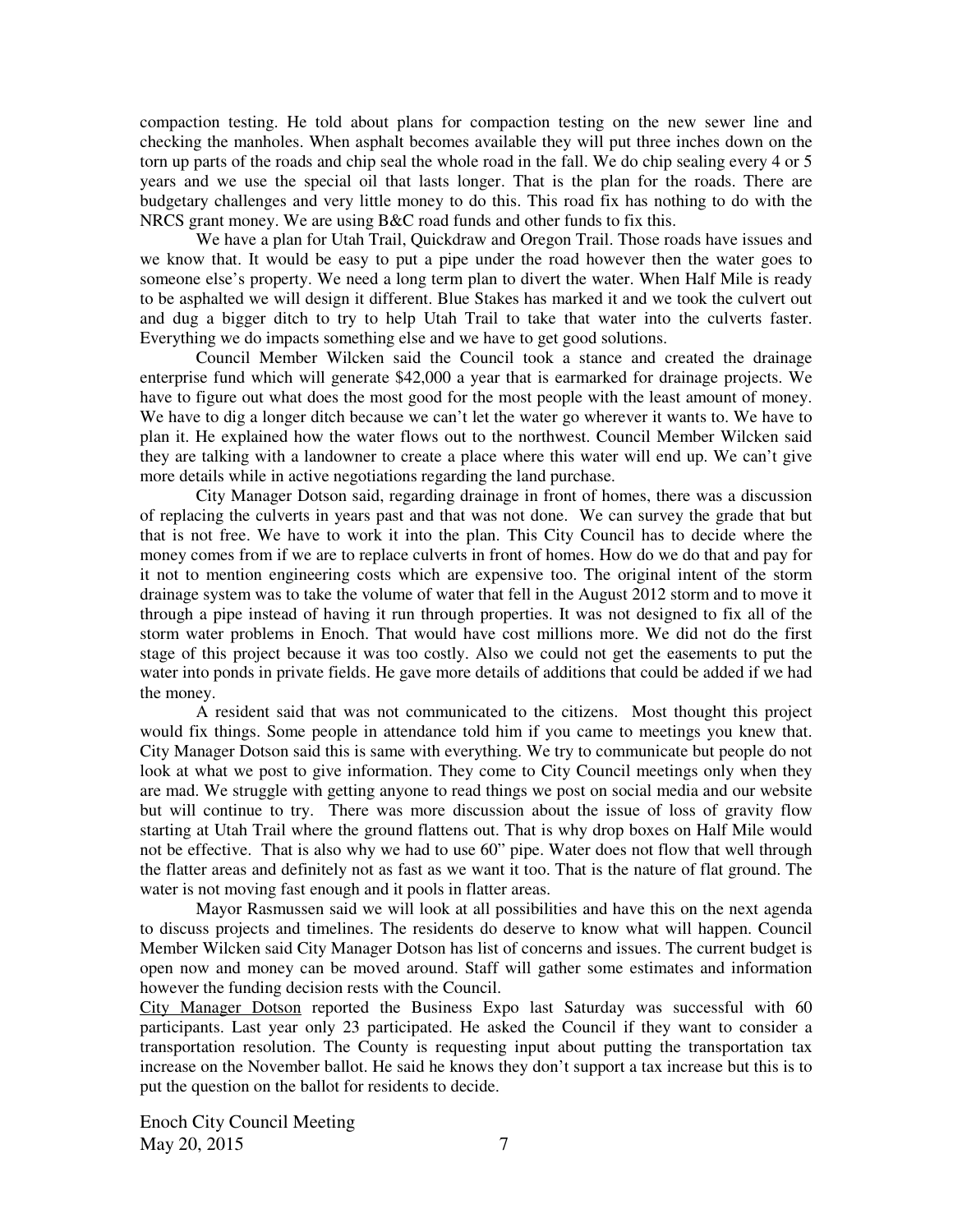compaction testing. He told about plans for compaction testing on the new sewer line and checking the manholes. When asphalt becomes available they will put three inches down on the torn up parts of the roads and chip seal the whole road in the fall. We do chip sealing every 4 or 5 years and we use the special oil that lasts longer. That is the plan for the roads. There are budgetary challenges and very little money to do this. This road fix has nothing to do with the NRCS grant money. We are using B&C road funds and other funds to fix this.

We have a plan for Utah Trail, Quickdraw and Oregon Trail. Those roads have issues and we know that. It would be easy to put a pipe under the road however then the water goes to someone else's property. We need a long term plan to divert the water. When Half Mile is ready to be asphalted we will design it different. Blue Stakes has marked it and we took the culvert out and dug a bigger ditch to try to help Utah Trail to take that water into the culverts faster. Everything we do impacts something else and we have to get good solutions.

 Council Member Wilcken said the Council took a stance and created the drainage enterprise fund which will generate \$42,000 a year that is earmarked for drainage projects. We have to figure out what does the most good for the most people with the least amount of money. We have to dig a longer ditch because we can't let the water go wherever it wants to. We have to plan it. He explained how the water flows out to the northwest. Council Member Wilcken said they are talking with a landowner to create a place where this water will end up. We can't give more details while in active negotiations regarding the land purchase.

City Manager Dotson said, regarding drainage in front of homes, there was a discussion of replacing the culverts in years past and that was not done. We can survey the grade that but that is not free. We have to work it into the plan. This City Council has to decide where the money comes from if we are to replace culverts in front of homes. How do we do that and pay for it not to mention engineering costs which are expensive too. The original intent of the storm drainage system was to take the volume of water that fell in the August 2012 storm and to move it through a pipe instead of having it run through properties. It was not designed to fix all of the storm water problems in Enoch. That would have cost millions more. We did not do the first stage of this project because it was too costly. Also we could not get the easements to put the water into ponds in private fields. He gave more details of additions that could be added if we had the money.

A resident said that was not communicated to the citizens. Most thought this project would fix things. Some people in attendance told him if you came to meetings you knew that. City Manager Dotson said this is same with everything. We try to communicate but people do not look at what we post to give information. They come to City Council meetings only when they are mad. We struggle with getting anyone to read things we post on social media and our website but will continue to try.There was more discussion about the issue of loss of gravity flow starting at Utah Trail where the ground flattens out. That is why drop boxes on Half Mile would not be effective. That is also why we had to use 60" pipe. Water does not flow that well through the flatter areas and definitely not as fast as we want it too. That is the nature of flat ground. The water is not moving fast enough and it pools in flatter areas.

Mayor Rasmussen said we will look at all possibilities and have this on the next agenda to discuss projects and timelines. The residents do deserve to know what will happen. Council Member Wilcken said City Manager Dotson has list of concerns and issues. The current budget is open now and money can be moved around. Staff will gather some estimates and information however the funding decision rests with the Council.

City Manager Dotson reported the Business Expo last Saturday was successful with 60 participants. Last year only 23 participated. He asked the Council if they want to consider a transportation resolution. The County is requesting input about putting the transportation tax increase on the November ballot. He said he knows they don't support a tax increase but this is to put the question on the ballot for residents to decide.